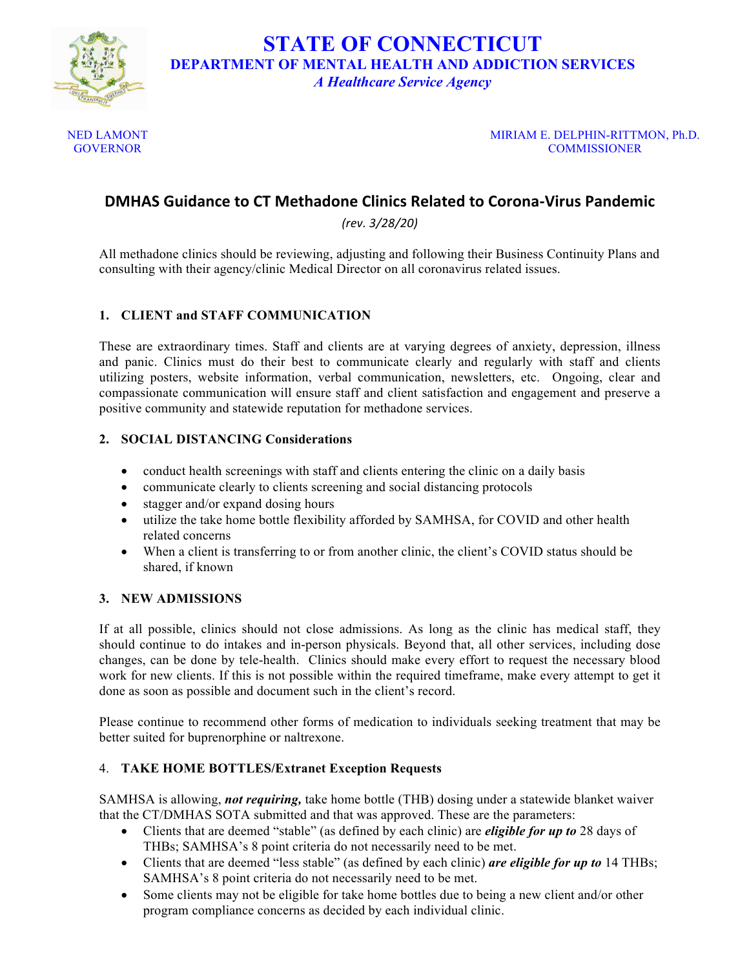

**STATE OF CONNECTICUT DEPARTMENT OF MENTAL HEALTH AND ADDICTION SERVICES** *A Healthcare Service Agency*

NED LAMONT **GOVERNOR** 

MIRIAM E. DELPHIN-RITTMON, Ph.D. **COMMISSIONER** 

# **DMHAS Guidance to CT Methadone Clinics Related to Corona-Virus Pandemic**

*(rev. 3/28/20)*

All methadone clinics should be reviewing, adjusting and following their Business Continuity Plans and consulting with their agency/clinic Medical Director on all coronavirus related issues.

## **1. CLIENT and STAFF COMMUNICATION**

These are extraordinary times. Staff and clients are at varying degrees of anxiety, depression, illness and panic. Clinics must do their best to communicate clearly and regularly with staff and clients utilizing posters, website information, verbal communication, newsletters, etc. Ongoing, clear and compassionate communication will ensure staff and client satisfaction and engagement and preserve a positive community and statewide reputation for methadone services.

#### **2. SOCIAL DISTANCING Considerations**

- conduct health screenings with staff and clients entering the clinic on a daily basis
- communicate clearly to clients screening and social distancing protocols
- stagger and/or expand dosing hours
- utilize the take home bottle flexibility afforded by SAMHSA, for COVID and other health related concerns
- When a client is transferring to or from another clinic, the client's COVID status should be shared, if known

#### **3. NEW ADMISSIONS**

If at all possible, clinics should not close admissions. As long as the clinic has medical staff, they should continue to do intakes and in-person physicals. Beyond that, all other services, including dose changes, can be done by tele-health. Clinics should make every effort to request the necessary blood work for new clients. If this is not possible within the required timeframe, make every attempt to get it done as soon as possible and document such in the client's record.

Please continue to recommend other forms of medication to individuals seeking treatment that may be better suited for buprenorphine or naltrexone.

#### 4. **TAKE HOME BOTTLES/Extranet Exception Requests**

SAMHSA is allowing, *not requiring,* take home bottle (THB) dosing under a statewide blanket waiver that the CT/DMHAS SOTA submitted and that was approved. These are the parameters:

- Clients that are deemed "stable" (as defined by each clinic) are *eligible for up to* 28 days of THBs; SAMHSA's 8 point criteria do not necessarily need to be met.
- Clients that are deemed "less stable" (as defined by each clinic) *are eligible for up to* 14 THBs; SAMHSA's 8 point criteria do not necessarily need to be met.
- Some clients may not be eligible for take home bottles due to being a new client and/or other program compliance concerns as decided by each individual clinic.